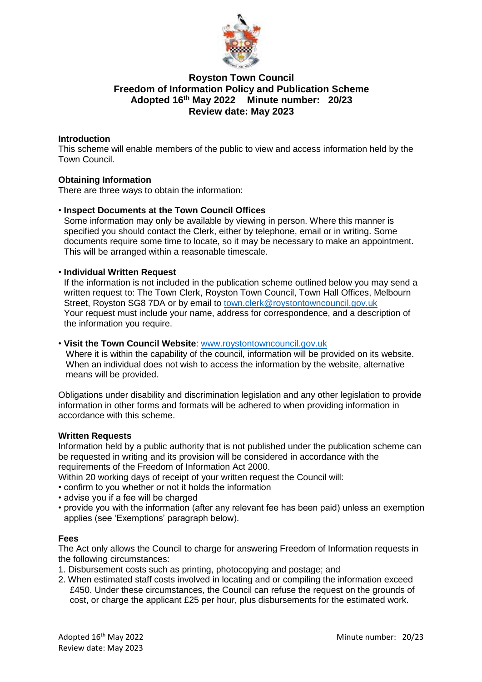

# **Royston Town Council Freedom of Information Policy and Publication Scheme Adopted 16 th May 2022 Minute number: 20/23 Review date: May 2023**

## **Introduction**

This scheme will enable members of the public to view and access information held by the Town Council.

## **Obtaining Information**

There are three ways to obtain the information:

## • **Inspect Documents at the Town Council Offices**

Some information may only be available by viewing in person. Where this manner is specified you should contact the Clerk, either by telephone, email or in writing. Some documents require some time to locate, so it may be necessary to make an appointment. This will be arranged within a reasonable timescale.

## • **Individual Written Request**

If the information is not included in the publication scheme outlined below you may send a written request to: The Town Clerk, Royston Town Council, Town Hall Offices, Melbourn Street, Royston SG8 7DA or by email to [town.clerk@roystontowncouncil.gov.uk](mailto:town.clerk@roystontowncouncil.gov.uk) Your request must include your name, address for correspondence, and a description of the information you require.

#### • **Visit the Town Council Website**: [www.roystontowncouncil.gov.uk](http://www.roystontowncouncil.gov.uk/)

Where it is within the capability of the council, information will be provided on its website. When an individual does not wish to access the information by the website, alternative means will be provided.

Obligations under disability and discrimination legislation and any other legislation to provide information in other forms and formats will be adhered to when providing information in accordance with this scheme.

#### **Written Requests**

Information held by a public authority that is not published under the publication scheme can be requested in writing and its provision will be considered in accordance with the requirements of the Freedom of Information Act 2000.

Within 20 working days of receipt of your written request the Council will:

- confirm to you whether or not it holds the information
- advise you if a fee will be charged
- provide you with the information (after any relevant fee has been paid) unless an exemption applies (see 'Exemptions' paragraph below).

#### **Fees**

The Act only allows the Council to charge for answering Freedom of Information requests in the following circumstances:

- 1. Disbursement costs such as printing, photocopying and postage; and
- 2. When estimated staff costs involved in locating and or compiling the information exceed £450. Under these circumstances, the Council can refuse the request on the grounds of cost, or charge the applicant £25 per hour, plus disbursements for the estimated work.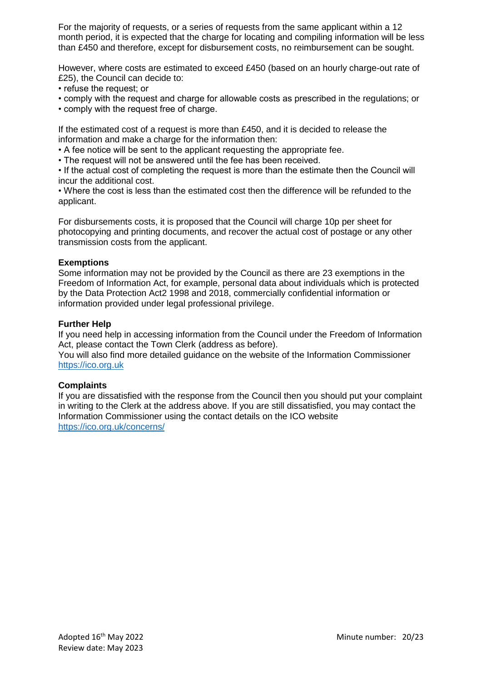For the majority of requests, or a series of requests from the same applicant within a 12 month period, it is expected that the charge for locating and compiling information will be less than £450 and therefore, except for disbursement costs, no reimbursement can be sought.

However, where costs are estimated to exceed £450 (based on an hourly charge-out rate of £25), the Council can decide to:

- refuse the request; or
- comply with the request and charge for allowable costs as prescribed in the regulations; or
- comply with the request free of charge.

If the estimated cost of a request is more than £450, and it is decided to release the information and make a charge for the information then:

• A fee notice will be sent to the applicant requesting the appropriate fee.

• The request will not be answered until the fee has been received.

• If the actual cost of completing the request is more than the estimate then the Council will incur the additional cost.

• Where the cost is less than the estimated cost then the difference will be refunded to the applicant.

For disbursements costs, it is proposed that the Council will charge 10p per sheet for photocopying and printing documents, and recover the actual cost of postage or any other transmission costs from the applicant.

## **Exemptions**

Some information may not be provided by the Council as there are 23 exemptions in the Freedom of Information Act, for example, personal data about individuals which is protected by the Data Protection Act2 1998 and 2018, commercially confidential information or information provided under legal professional privilege.

## **Further Help**

If you need help in accessing information from the Council under the Freedom of Information Act, please contact the Town Clerk (address as before).

You will also find more detailed guidance on the website of the Information Commissioner [https://ico.org.uk](https://ico.org.uk/)

## **Complaints**

If you are dissatisfied with the response from the Council then you should put your complaint in writing to the Clerk at the address above. If you are still dissatisfied, you may contact the Information Commissioner using the contact details on the ICO website <https://ico.org.uk/concerns/>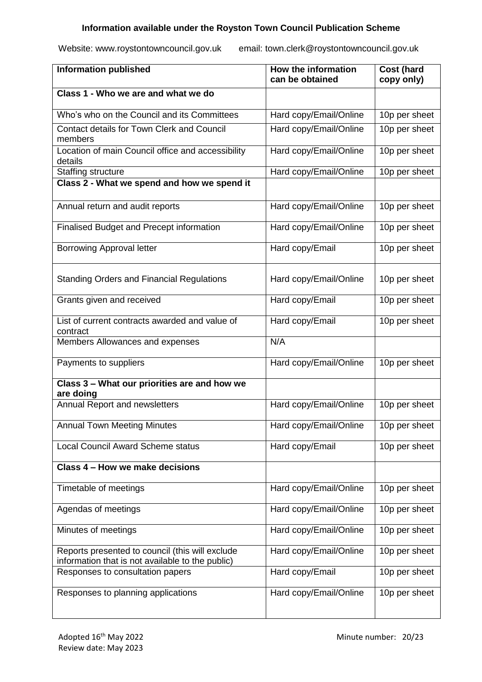# **Information available under the Royston Town Council Publication Scheme**

Website: www.roystontowncouncil.gov.uk email: town.clerk@roystontowncouncil.gov.uk

| <b>Information published</b>                                                                        | How the information<br>can be obtained | Cost (hard<br>copy only) |
|-----------------------------------------------------------------------------------------------------|----------------------------------------|--------------------------|
| Class 1 - Who we are and what we do                                                                 |                                        |                          |
| Who's who on the Council and its Committees                                                         | Hard copy/Email/Online                 | 10p per sheet            |
| <b>Contact details for Town Clerk and Council</b><br>members                                        | Hard copy/Email/Online                 | 10p per sheet            |
| Location of main Council office and accessibility<br>details                                        | Hard copy/Email/Online                 | 10p per sheet            |
| Staffing structure                                                                                  | Hard copy/Email/Online                 | 10p per sheet            |
| Class 2 - What we spend and how we spend it                                                         |                                        |                          |
| Annual return and audit reports                                                                     | Hard copy/Email/Online                 | 10p per sheet            |
| Finalised Budget and Precept information                                                            | Hard copy/Email/Online                 | 10p per sheet            |
| <b>Borrowing Approval letter</b>                                                                    | Hard copy/Email                        | 10p per sheet            |
| <b>Standing Orders and Financial Regulations</b>                                                    | Hard copy/Email/Online                 | 10p per sheet            |
| Grants given and received                                                                           | Hard copy/Email                        | 10p per sheet            |
| List of current contracts awarded and value of<br>contract                                          | Hard copy/Email                        | 10p per sheet            |
| Members Allowances and expenses                                                                     | N/A                                    |                          |
| Payments to suppliers                                                                               | Hard copy/Email/Online                 | 10p per sheet            |
| Class 3 - What our priorities are and how we<br>are doing                                           |                                        |                          |
| <b>Annual Report and newsletters</b>                                                                | Hard copy/Email/Online                 | 10p per sheet            |
| <b>Annual Town Meeting Minutes</b>                                                                  | Hard copy/Email/Online                 | 10p per sheet            |
| <b>Local Council Award Scheme status</b><br>Hard copy/Email                                         |                                        | 10p per sheet            |
| Class 4 - How we make decisions                                                                     |                                        |                          |
| Timetable of meetings                                                                               | Hard copy/Email/Online                 | 10p per sheet            |
| Agendas of meetings                                                                                 | Hard copy/Email/Online                 | 10p per sheet            |
| Minutes of meetings                                                                                 | Hard copy/Email/Online                 | 10p per sheet            |
| Reports presented to council (this will exclude<br>information that is not available to the public) | Hard copy/Email/Online                 | 10p per sheet            |
| Responses to consultation papers                                                                    | Hard copy/Email                        | 10p per sheet            |
| Responses to planning applications                                                                  | Hard copy/Email/Online                 | 10p per sheet            |